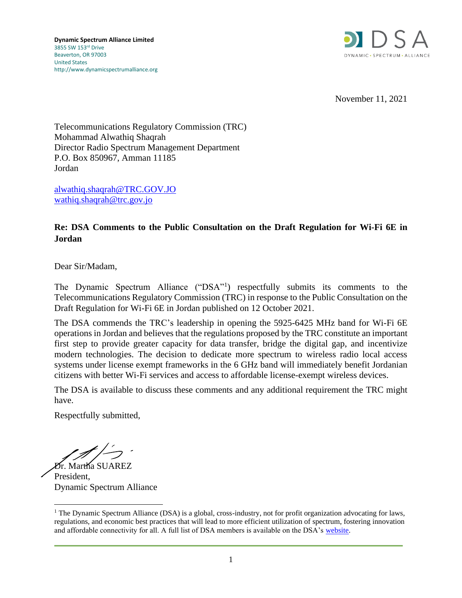

November 11, 2021

Telecommunications Regulatory Commission (TRC) Mohammad Alwathiq Shaqrah Director Radio Spectrum Management Department P.O. Box 850967, Amman 11185 Jordan

[alwathiq.shaqrah@TRC.GOV.JO](mailto:alwathiq.shaqrah@TRC.GOV.JO) [wathiq.shaqrah@trc.gov.jo](mailto:wathiq.shaqrah@trc.gov.jo)

## **Re: DSA Comments to the Public Consultation on the Draft Regulation for Wi-Fi 6E in Jordan**

Dear Sir/Madam,

The Dynamic Spectrum Alliance ("DSA"<sup>1</sup>) respectfully submits its comments to the Telecommunications Regulatory Commission (TRC) in response to the Public Consultation on the Draft Regulation for Wi-Fi 6E in Jordan published on 12 October 2021.

The DSA commends the TRC's leadership in opening the 5925-6425 MHz band for Wi-Fi 6E operations in Jordan and believes that the regulations proposed by the TRC constitute an important first step to provide greater capacity for data transfer, bridge the digital gap, and incentivize modern technologies. The decision to dedicate more spectrum to wireless radio local access systems under license exempt frameworks in the 6 GHz band will immediately benefit Jordanian citizens with better Wi-Fi services and access to affordable license-exempt wireless devices.

The DSA is available to discuss these comments and any additional requirement the TRC might have.

Respectfully submitted,

Dr. Martha SUAREZ

President, Dynamic Spectrum Alliance

<sup>&</sup>lt;sup>1</sup> The Dynamic Spectrum Alliance (DSA) is a global, cross-industry, not for profit organization advocating for laws, regulations, and economic best practices that will lead to more efficient utilization of spectrum, fostering innovation and affordable connectivity for all. A full list of DSA members is available on the DSA's [website.](http://www.dynamicspectrumalliance.org/members)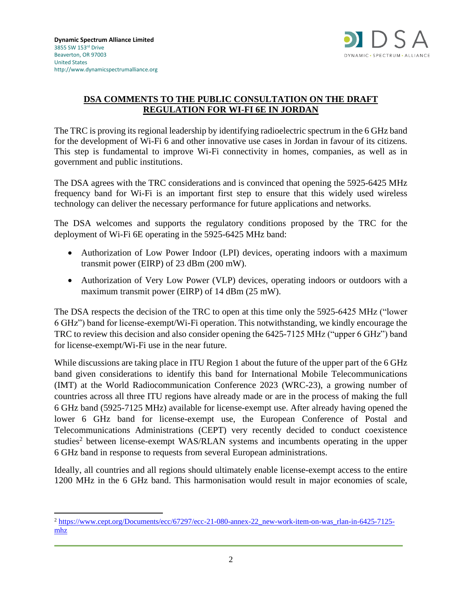

## **DSA COMMENTS TO THE PUBLIC CONSULTATION ON THE DRAFT REGULATION FOR WI-FI 6E IN JORDAN**

The TRC is proving its regional leadership by identifying radioelectric spectrum in the 6 GHz band for the development of Wi-Fi 6 and other innovative use cases in Jordan in favour of its citizens. This step is fundamental to improve Wi-Fi connectivity in homes, companies, as well as in government and public institutions.

The DSA agrees with the TRC considerations and is convinced that opening the 5925-6425 MHz frequency band for Wi-Fi is an important first step to ensure that this widely used wireless technology can deliver the necessary performance for future applications and networks.

The DSA welcomes and supports the regulatory conditions proposed by the TRC for the deployment of Wi-Fi 6E operating in the 5925-6425 MHz band:

- Authorization of Low Power Indoor (LPI) devices, operating indoors with a maximum transmit power (EIRP) of 23 dBm (200 mW).
- Authorization of Very Low Power (VLP) devices, operating indoors or outdoors with a maximum transmit power (EIRP) of 14 dBm (25 mW).

The DSA respects the decision of the TRC to open at this time only the 5925-6425 MHz ("lower 6 GHz") band for license-exempt/Wi-Fi operation. This notwithstanding, we kindly encourage the TRC to review this decision and also consider opening the 6425-7125 MHz ("upper 6 GHz") band for license-exempt/Wi-Fi use in the near future.

While discussions are taking place in ITU Region 1 about the future of the upper part of the 6 GHz band given considerations to identify this band for International Mobile Telecommunications (IMT) at the World Radiocommunication Conference 2023 (WRC-23), a growing number of countries across all three ITU regions have already made or are in the process of making the full 6 GHz band (5925-7125 MHz) available for license-exempt use. After already having opened the lower 6 GHz band for license-exempt use, the European Conference of Postal and Telecommunications Administrations (CEPT) very recently decided to conduct coexistence studies<sup>2</sup> between license-exempt WAS/RLAN systems and incumbents operating in the upper 6 GHz band in response to requests from several European administrations.

Ideally, all countries and all regions should ultimately enable license-exempt access to the entire 1200 MHz in the 6 GHz band. This harmonisation would result in major economies of scale,

<sup>2</sup> [https://www.cept.org/Documents/ecc/67297/ecc-21-080-annex-22\\_new-work-item-on-was\\_rlan-in-6425-7125](https://www.cept.org/Documents/ecc/67297/ecc-21-080-annex-22_new-work-item-on-was_rlan-in-6425-7125-mhz) [mhz](https://www.cept.org/Documents/ecc/67297/ecc-21-080-annex-22_new-work-item-on-was_rlan-in-6425-7125-mhz)